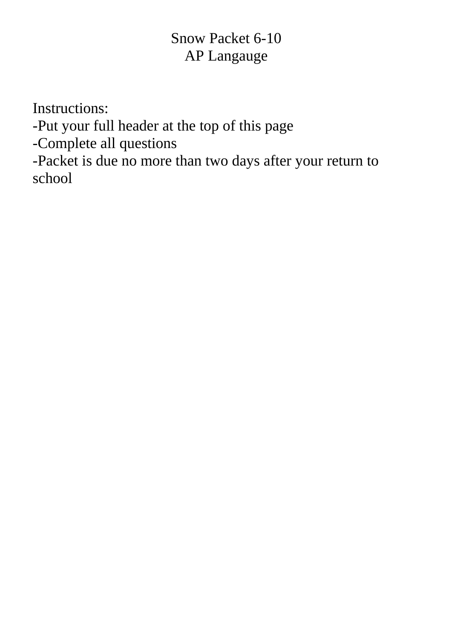# Snow Packet 6-10 AP Langauge

Instructions:

-Put your full header at the top of this page

-Complete all questions

-Packet is due no more than two days after your return to school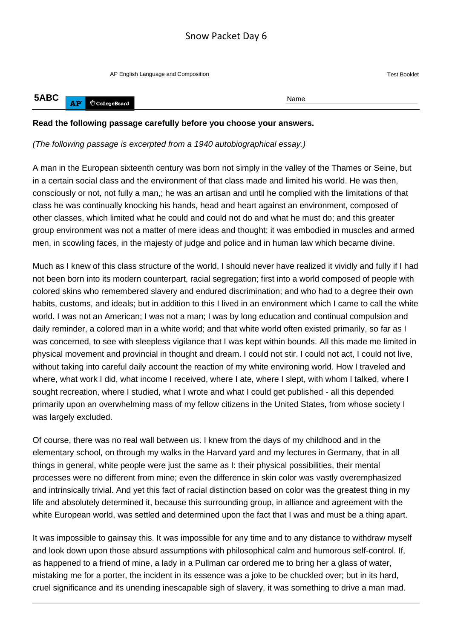AP English Language and Composition Test Booklet Composition Test Booklet

## **5ABC Name** *Continued Continued Name*

#### **Read the following passage carefully before you choose your answers.**

*(The following passage is excerpted from a 1940 autobiographical essay.)*

A man in the European sixteenth century was born not simply in the valley of the Thames or Seine, but in a certain social class and the environment of that class made and limited his world. He was then, consciously or not, not fully a man,; he was an artisan and until he complied with the limitations of that class he was continually knocking his hands, head and heart against an environment, composed of other classes, which limited what he could and could not do and what he must do; and this greater group environment was not a matter of mere ideas and thought; it was embodied in muscles and armed men, in scowling faces, in the majesty of judge and police and in human law which became divine.

Much as I knew of this class structure of the world, I should never have realized it vividly and fully if I had not been born into its modern counterpart, racial segregation; first into a world composed of people with colored skins who remembered slavery and endured discrimination; and who had to a degree their own habits, customs, and ideals; but in addition to this I lived in an environment which I came to call the white world. I was not an American; I was not a man; I was by long education and continual compulsion and daily reminder, a colored man in a white world; and that white world often existed primarily, so far as I was concerned, to see with sleepless vigilance that I was kept within bounds. All this made me limited in physical movement and provincial in thought and dream. I could not stir. I could not act, I could not live, without taking into careful daily account the reaction of my white environing world. How I traveled and where, what work I did, what income I received, where I ate, where I slept, with whom I talked, where I sought recreation, where I studied, what I wrote and what I could get published - all this depended primarily upon an overwhelming mass of my fellow citizens in the United States, from whose society I was largely excluded.

Of course, there was no real wall between us. I knew from the days of my childhood and in the elementary school, on through my walks in the Harvard yard and my lectures in Germany, that in all things in general, white people were just the same as I: their physical possibilities, their mental processes were no different from mine; even the difference in skin color was vastly overemphasized and intrinsically trivial. And yet this fact of racial distinction based on color was the greatest thing in my life and absolutely determined it, because this surrounding group, in alliance and agreement with the white European world, was settled and determined upon the fact that I was and must be a thing apart.

It was impossible to gainsay this. It was impossible for any time and to any distance to withdraw myself and look down upon those absurd assumptions with philosophical calm and humorous self-control. If, as happened to a friend of mine, a lady in a Pullman car ordered me to bring her a glass of water, mistaking me for a porter, the incident in its essence was a joke to be chuckled over; but in its hard, cruel significance and its unending inescapable sigh of slavery, it was something to drive a man mad.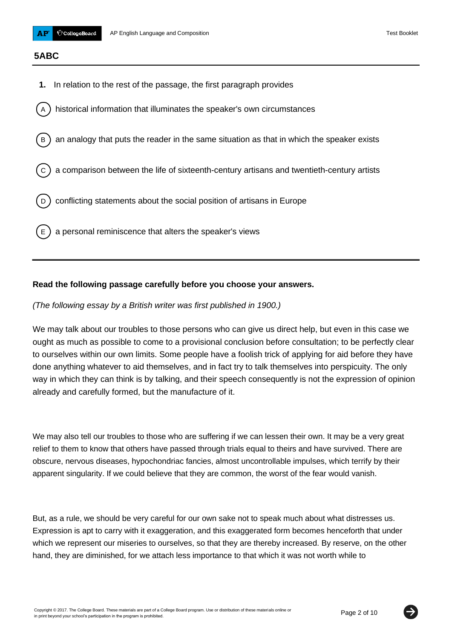- **1.** In relation to the rest of the passage, the first paragraph provides
- A historical information that illuminates the speaker's own circumstances
- an analogy that puts the reader in the same situation as that in which the speaker exists
- a comparison between the life of sixteenth-century artisans and twentieth-century artists
- conflicting statements about the social position of artisans in Europe
	- a personal reminiscence that alters the speaker's views

#### **Read the following passage carefully before you choose your answers.**

*(The following essay by a British writer was first published in 1900.)*

We may talk about our troubles to those persons who can give us direct help, but even in this case we ought as much as possible to come to a provisional conclusion before consultation; to be perfectly clear to ourselves within our own limits. Some people have a foolish trick of applying for aid before they have done anything whatever to aid themselves, and in fact try to talk themselves into perspicuity. The only way in which they can think is by talking, and their speech consequently is not the expression of opinion already and carefully formed, but the manufacture of it.

We may also tell our troubles to those who are suffering if we can lessen their own. It may be a very great relief to them to know that others have passed through trials equal to theirs and have survived. There are obscure, nervous diseases, hypochondriac fancies, almost uncontrollable impulses, which terrify by their apparent singularity. If we could believe that they are common, the worst of the fear would vanish.

But, as a rule, we should be very careful for our own sake not to speak much about what distresses us. Expression is apt to carry with it exaggeration, and this exaggerated form becomes henceforth that under which we represent our miseries to ourselves, so that they are thereby increased. By reserve, on the other hand, they are diminished, for we attach less importance to that which it was not worth while to

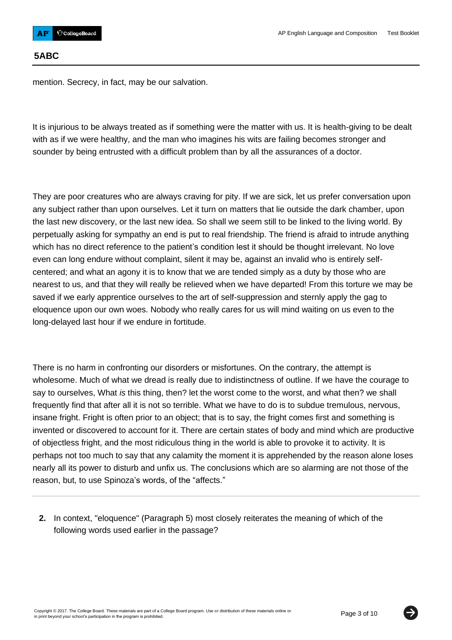mention. Secrecy, in fact, may be our salvation.

It is injurious to be always treated as if something were the matter with us. It is health-giving to be dealt with as if we were healthy, and the man who imagines his wits are failing becomes stronger and sounder by being entrusted with a difficult problem than by all the assurances of a doctor.

They are poor creatures who are always craving for pity. If we are sick, let us prefer conversation upon any subject rather than upon ourselves. Let it turn on matters that lie outside the dark chamber, upon the last new discovery, or the last new idea. So shall we seem still to be linked to the living world. By perpetually asking for sympathy an end is put to real friendship. The friend is afraid to intrude anything which has no direct reference to the patient's condition lest it should be thought irrelevant. No love even can long endure without complaint, silent it may be, against an invalid who is entirely selfcentered; and what an agony it is to know that we are tended simply as a duty by those who are nearest to us, and that they will really be relieved when we have departed! From this torture we may be saved if we early apprentice ourselves to the art of self-suppression and sternly apply the gag to eloquence upon our own woes. Nobody who really cares for us will mind waiting on us even to the long-delayed last hour if we endure in fortitude.

There is no harm in confronting our disorders or misfortunes. On the contrary, the attempt is wholesome. Much of what we dread is really due to indistinctness of outline. If we have the courage to say to ourselves, What *is* this thing, then? let the worst come to the worst, and what then? we shall frequently find that after all it is not so terrible. What we have to do is to subdue tremulous, nervous, insane fright. Fright is often prior to an object; that is to say, the fright comes first and something is invented or discovered to account for it. There are certain states of body and mind which are productive of objectless fright, and the most ridiculous thing in the world is able to provoke it to activity. It is perhaps not too much to say that any calamity the moment it is apprehended by the reason alone loses nearly all its power to disturb and unfix us. The conclusions which are so alarming are not those of the reason, but, to use Spinoza's words, of the "affects."

**2.** In context, "eloquence" (Paragraph 5) most closely reiterates the meaning of which of the following words used earlier in the passage?

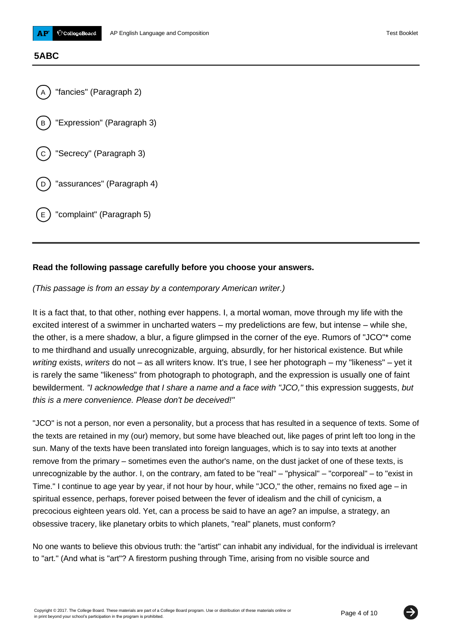

"Expression" (Paragraph 3)

"Secrecy" (Paragraph 3)

- "assurances" (Paragraph 4)
- "complaint" (Paragraph 5)

#### **Read the following passage carefully before you choose your answers.**

*(This passage is from an essay by a contemporary American writer.)*

It is a fact that, to that other, nothing ever happens. I, a mortal woman, move through my life with the excited interest of a swimmer in uncharted waters – my predelictions are few, but intense – while she, the other, is a mere shadow, a blur, a figure glimpsed in the corner of the eye. Rumors of "JCO"\* come to me thirdhand and usually unrecognizable, arguing, absurdly, for her historical existence. But while *writing* exists, *writers* do not – as all writers know. It's true, I see her photograph – my "likeness" – yet it is rarely the same "likeness" from photograph to photograph, and the expression is usually one of faint bewilderment. *"I acknowledge that I share a name and a face with "JCO,"* this expression suggests, *but this is a mere convenience. Please don't be deceived!"*

"JCO" is not a person, nor even a personality, but a process that has resulted in a sequence of texts. Some of the texts are retained in my (our) memory, but some have bleached out, like pages of print left too long in the sun. Many of the texts have been translated into foreign languages, which is to say into texts at another remove from the primary – sometimes even the author's name, on the dust jacket of one of these texts, is unrecognizable by the author. I, on the contrary, am fated to be "real" – "physical" – "corporeal" – to "exist in Time." I continue to age year by year, if not hour by hour, while "JCO," the other, remains no fixed age – in spiritual essence, perhaps, forever poised between the fever of idealism and the chill of cynicism, a precocious eighteen years old. Yet, can a process be said to have an age? an impulse, a strategy, an obsessive tracery, like planetary orbits to which planets, "real" planets, must conform?

No one wants to believe this obvious truth: the "artist" can inhabit any individual, for the individual is irrelevant to "art." (And what is "art"? A firestorm pushing through Time, arising from no visible source and

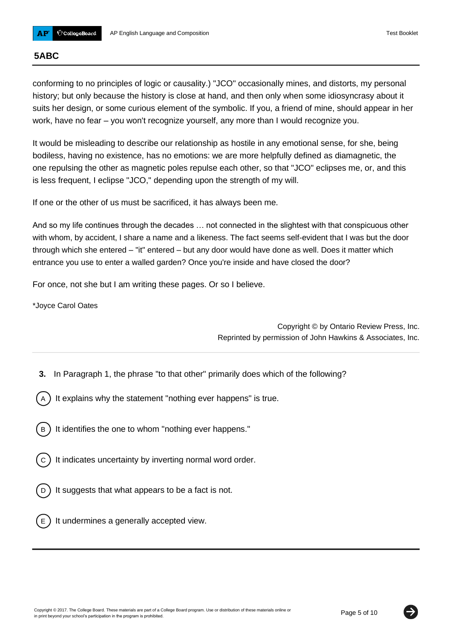conforming to no principles of logic or causality.) "JCO" occasionally mines, and distorts, my personal history; but only because the history is close at hand, and then only when some idiosyncrasy about it suits her design, or some curious element of the symbolic. If you, a friend of mine, should appear in her work, have no fear – you won't recognize yourself, any more than I would recognize you.

It would be misleading to describe our relationship as hostile in any emotional sense, for she, being bodiless, having no existence, has no emotions: we are more helpfully defined as diamagnetic, the one repulsing the other as magnetic poles repulse each other, so that "JCO" eclipses me, or, and this is less frequent, I eclipse "JCO," depending upon the strength of my will.

If one or the other of us must be sacrificed, it has always been me.

And so my life continues through the decades … not connected in the slightest with that conspicuous other with whom, by accident, I share a name and a likeness. The fact seems self-evident that I was but the door through which she entered – "it" entered – but any door would have done as well. Does it matter which entrance you use to enter a walled garden? Once you're inside and have closed the door?

For once, not she but I am writing these pages. Or so I believe.

\*Joyce Carol Oates

Copyright © by Ontario Review Press, Inc. Reprinted by permission of John Hawkins & Associates, Inc.

- **3.** In Paragraph 1, the phrase "to that other" primarily does which of the following?
- It explains why the statement "nothing ever happens" is true.
- It identifies the one to whom "nothing ever happens."
- It indicates uncertainty by inverting normal word order.
- It suggests that what appears to be a fact is not.
- It undermines a generally accepted view.

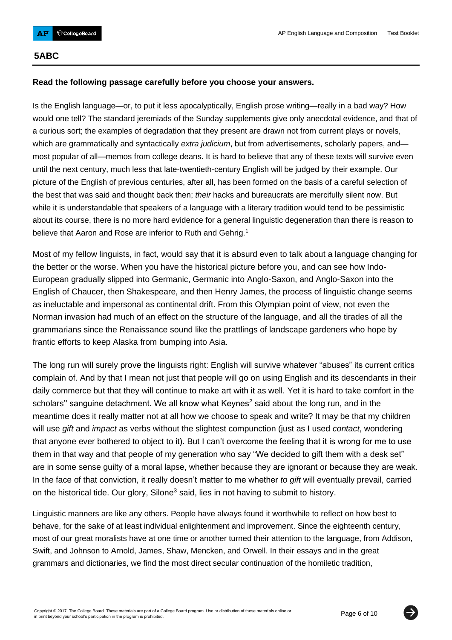#### **Read the following passage carefully before you choose your answers.**

Is the English language—or, to put it less apocalyptically, English prose writing—really in a bad way? How would one tell? The standard jeremiads of the Sunday supplements give only anecdotal evidence, and that of a curious sort; the examples of degradation that they present are drawn not from current plays or novels, which are grammatically and syntactically *extra judicium*, but from advertisements, scholarly papers, and most popular of all—memos from college deans. It is hard to believe that any of these texts will survive even until the next century, much less that late-twentieth-century English will be judged by their example. Our picture of the English of previous centuries, after all, has been formed on the basis of a careful selection of the best that was said and thought back then; *their* hacks and bureaucrats are mercifully silent now. But while it is understandable that speakers of a language with a literary tradition would tend to be pessimistic about its course, there is no more hard evidence for a general linguistic degeneration than there is reason to believe that Aaron and Rose are inferior to Ruth and Gehrig.<sup>1</sup>

Most of my fellow linguists, in fact, would say that it is absurd even to talk about a language changing for the better or the worse. When you have the historical picture before you, and can see how Indo-European gradually slipped into Germanic, Germanic into Anglo-Saxon, and Anglo-Saxon into the English of Chaucer, then Shakespeare, and then Henry James, the process of linguistic change seems as ineluctable and impersonal as continental drift. From this Olympian point of view, not even the Norman invasion had much of an effect on the structure of the language, and all the tirades of all the grammarians since the Renaissance sound like the prattlings of landscape gardeners who hope by frantic efforts to keep Alaska from bumping into Asia.

The long run will surely prove the linguists right: English will survive whatever "abuses" its current critics complain of. And by that I mean not just that people will go on using English and its descendants in their daily commerce but that they will continue to make art with it as well. Yet it is hard to take comfort in the scholars" sanguine detachment. We all know what Keynes<sup>2</sup> said about the long run, and in the meantime does it really matter not at all how we choose to speak and write? It may be that my children will use *gift* and *impact* as verbs without the slightest compunction (just as I used *contact*, wondering that anyone ever bothered to object to it). But I can't overcome the feeling that it is wrong for me to use them in that way and that people of my generation who say "We decided to gift them with a desk set" are in some sense guilty of a moral lapse, whether because they are ignorant or because they are weak. In the face of that conviction, it really doesn't matter to me whether *to gift* will eventually prevail, carried on the historical tide. Our glory, Silone<sup>3</sup> said, lies in not having to submit to history.

Linguistic manners are like any others. People have always found it worthwhile to reflect on how best to behave, for the sake of at least individual enlightenment and improvement. Since the eighteenth century, most of our great moralists have at one time or another turned their attention to the language, from Addison, Swift, and Johnson to Arnold, James, Shaw, Mencken, and Orwell. In their essays and in the great grammars and dictionaries, we find the most direct secular continuation of the homiletic tradition,

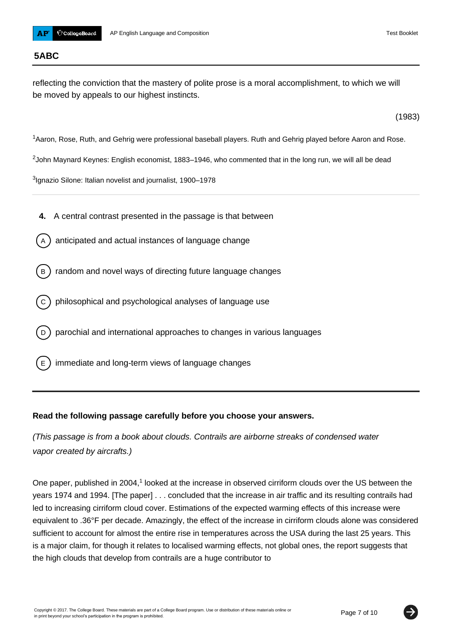reflecting the conviction that the mastery of polite prose is a moral accomplishment, to which we will be moved by appeals to our highest instincts.

(1983)

<sup>1</sup>Aaron, Rose, Ruth, and Gehrig were professional baseball players. Ruth and Gehrig played before Aaron and Rose.

 $^{2}$ John Maynard Keynes: English economist, 1883–1946, who commented that in the long run, we will all be dead

3 Ignazio Silone: Italian novelist and journalist, 1900–1978

- **4.** A central contrast presented in the passage is that between
- anticipated and actual instances of language change
- random and novel ways of directing future language changes
- philosophical and psychological analyses of language use
- parochial and international approaches to changes in various languages
- immediate and long-term views of language changes

#### **Read the following passage carefully before you choose your answers.**

*(This passage is from a book about clouds. Contrails are airborne streaks of condensed water vapor created by aircrafts.)*

One paper, published in 2004,<sup>1</sup> looked at the increase in observed cirriform clouds over the US between the years 1974 and 1994. [The paper] . . . concluded that the increase in air traffic and its resulting contrails had led to increasing cirriform cloud cover. Estimations of the expected warming effects of this increase were equivalent to .36°F per decade. Amazingly, the effect of the increase in cirriform clouds alone was considered sufficient to account for almost the entire rise in temperatures across the USA during the last 25 years. This is a major claim, for though it relates to localised warming effects, not global ones, the report suggests that the high clouds that develop from contrails are a huge contributor to

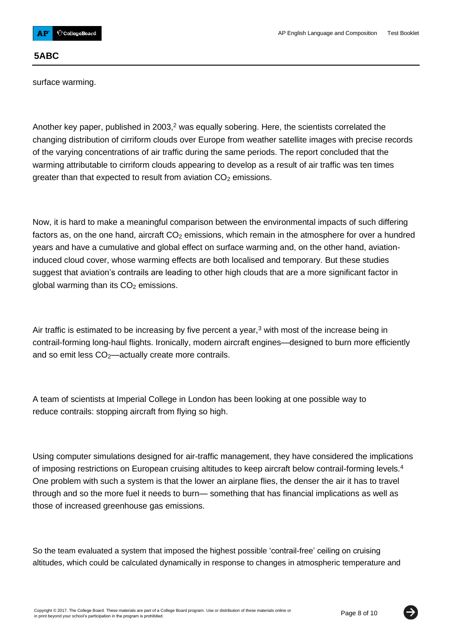surface warming.

Another key paper, published in 2003,<sup>2</sup> was equally sobering. Here, the scientists correlated the changing distribution of cirriform clouds over Europe from weather satellite images with precise records of the varying concentrations of air traffic during the same periods. The report concluded that the warming attributable to cirriform clouds appearing to develop as a result of air traffic was ten times greater than that expected to result from aviation  $CO<sub>2</sub>$  emissions.

Now, it is hard to make a meaningful comparison between the environmental impacts of such differing factors as, on the one hand, aircraft  $CO<sub>2</sub>$  emissions, which remain in the atmosphere for over a hundred years and have a cumulative and global effect on surface warming and, on the other hand, aviationinduced cloud cover, whose warming effects are both localised and temporary. But these studies suggest that aviation's contrails are leading to other high clouds that are a more significant factor in global warming than its  $CO<sub>2</sub>$  emissions.

Air traffic is estimated to be increasing by five percent a year, $3$  with most of the increase being in contrail-forming long-haul flights. Ironically, modern aircraft engines—designed to burn more efficiently and so emit less  $CO<sub>2</sub>$ —actually create more contrails.

A team of scientists at Imperial College in London has been looking at one possible way to reduce contrails: stopping aircraft from flying so high.

Using computer simulations designed for air-traffic management, they have considered the implications of imposing restrictions on European cruising altitudes to keep aircraft below contrail-forming levels.<sup>4</sup> One problem with such a system is that the lower an airplane flies, the denser the air it has to travel through and so the more fuel it needs to burn— something that has financial implications as well as those of increased greenhouse gas emissions.

So the team evaluated a system that imposed the highest possible 'contrail-free' ceiling on cruising altitudes, which could be calculated dynamically in response to changes in atmospheric temperature and

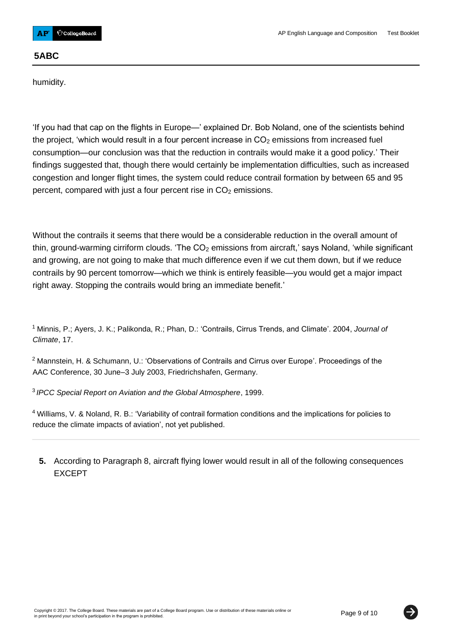humidity.

'If you had that cap on the flights in Europe—' explained Dr. Bob Noland, one of the scientists behind the project, 'which would result in a four percent increase in  $CO<sub>2</sub>$  emissions from increased fuel consumption—our conclusion was that the reduction in contrails would make it a good policy.' Their findings suggested that, though there would certainly be implementation difficulties, such as increased congestion and longer flight times, the system could reduce contrail formation by between 65 and 95 percent, compared with just a four percent rise in  $CO<sub>2</sub>$  emissions.

Without the contrails it seems that there would be a considerable reduction in the overall amount of thin, ground-warming cirriform clouds. 'The CO<sub>2</sub> emissions from aircraft,' says Noland, 'while significant and growing, are not going to make that much difference even if we cut them down, but if we reduce contrails by 90 percent tomorrow—which we think is entirely feasible—you would get a major impact right away. Stopping the contrails would bring an immediate benefit.'

<sup>1</sup> Minnis, P.; Ayers, J. K.; Palikonda, R.; Phan, D.: 'Contrails, Cirrus Trends, and Climate'. 2004, *Journal of Climate*, 17.

<sup>2</sup> Mannstein, H. & Schumann, U.: 'Observations of Contrails and Cirrus over Europe'. Proceedings of the AAC Conference, 30 June–3 July 2003, Friedrichshafen, Germany.

3 *IPCC Special Report on Aviation and the Global Atmosphere*, 1999.

<sup>4</sup> Williams, V. & Noland, R. B.: 'Variability of contrail formation conditions and the implications for policies to reduce the climate impacts of aviation', not yet published.

**5.** According to Paragraph 8, aircraft flying lower would result in all of the following consequences EXCEPT

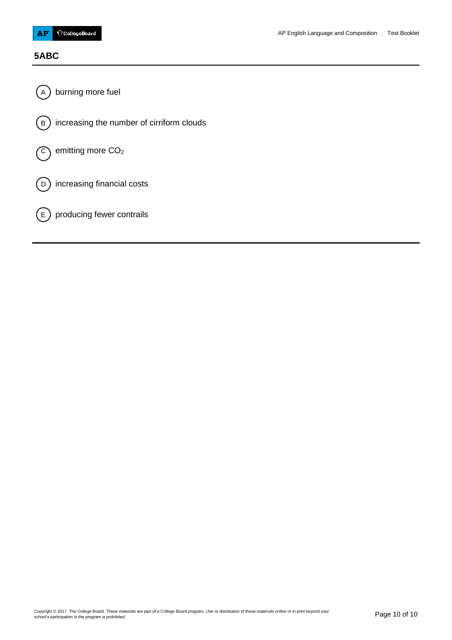

 $\left(\begin{matrix} 1 \end{matrix}\right)$  burning more fuel

 $(B)$  increasing the number of cirriform clouds





 $\widehat{E}$  producing fewer contrails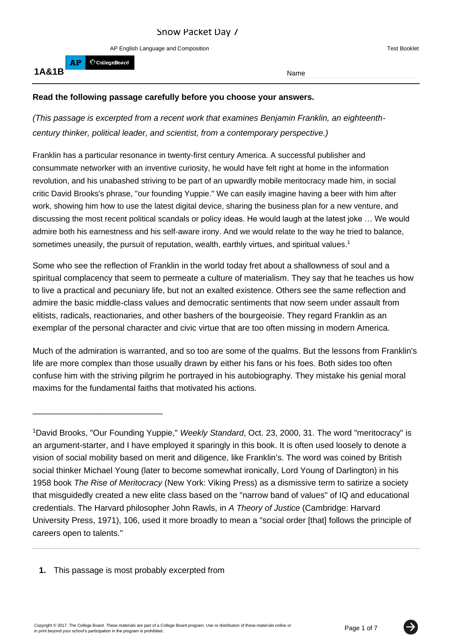#### Snow Packet Day 7

AP English Language and Composition Test Booklet Composition Test Booklet

**AP**  $\hat{\nabla}$  CollegeBoard **1A&1B** Name

#### **Read the following passage carefully before you choose your answers.**

*(This passage is excerpted from a recent work that examines Benjamin Franklin, an eighteenthcentury thinker, political leader, and scientist, from a contemporary perspective.)*

Franklin has a particular resonance in twenty-first century America. A successful publisher and consummate networker with an inventive curiosity, he would have felt right at home in the information revolution, and his unabashed striving to be part of an upwardly mobile meritocracy made him, in social critic David Brooks's phrase, "our founding Yuppie." We can easily imagine having a beer with him after work, showing him how to use the latest digital device, sharing the business plan for a new venture, and discussing the most recent political scandals or policy ideas. He would laugh at the latest joke … We would admire both his earnestness and his self-aware irony. And we would relate to the way he tried to balance, sometimes uneasily, the pursuit of reputation, wealth, earthly virtues, and spiritual values.<sup>1</sup>

Some who see the reflection of Franklin in the world today fret about a shallowness of soul and a spiritual complacency that seem to permeate a culture of materialism. They say that he teaches us how to live a practical and pecuniary life, but not an exalted existence. Others see the same reflection and admire the basic middle-class values and democratic sentiments that now seem under assault from elitists, radicals, reactionaries, and other bashers of the bourgeoisie. They regard Franklin as an exemplar of the personal character and civic virtue that are too often missing in modern America.

Much of the admiration is warranted, and so too are some of the qualms. But the lessons from Franklin's life are more complex than those usually drawn by either his fans or his foes. Both sides too often confuse him with the striving pilgrim he portrayed in his autobiography. They mistake his genial moral maxims for the fundamental faiths that motivated his actions.

**1.** This passage is most probably excerpted from

\_\_\_\_\_\_\_\_\_\_\_\_\_\_\_\_\_\_\_\_\_\_\_\_\_\_\_\_



<sup>1</sup>David Brooks, "Our Founding Yuppie," *Weekly Standard*, Oct. 23, 2000, 31. The word "meritocracy" is an argument-starter, and I have employed it sparingly in this book. It is often used loosely to denote a vision of social mobility based on merit and diligence, like Franklin's. The word was coined by British social thinker Michael Young (later to become somewhat ironically, Lord Young of Darlington) in his 1958 book *The Rise of Meritocracy* (New York: Viking Press) as a dismissive term to satirize a society that misguidedly created a new elite class based on the "narrow band of values" of IQ and educational credentials. The Harvard philosopher John Rawls, in *A Theory of Justice* (Cambridge: Harvard University Press, 1971), 106, used it more broadly to mean a "social order [that] follows the principle of careers open to talents."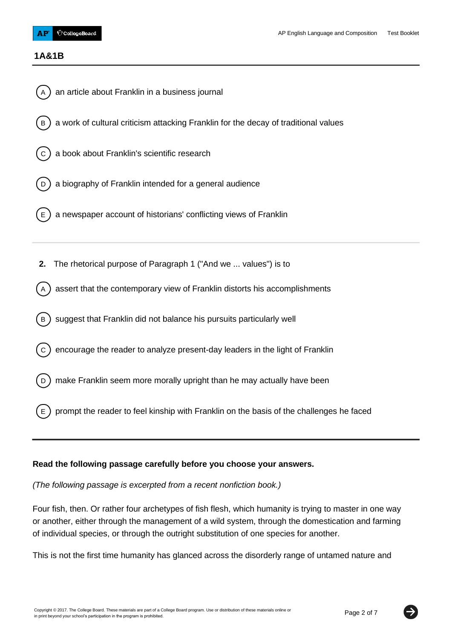

#### **Read the following passage carefully before you choose your answers.**

*(The following passage is excerpted from a recent nonfiction book.)*

Four fish, then. Or rather four archetypes of fish flesh, which humanity is trying to master in one way or another, either through the management of a wild system, through the domestication and farming of individual species, or through the outright substitution of one species for another.

This is not the first time humanity has glanced across the disorderly range of untamed nature and

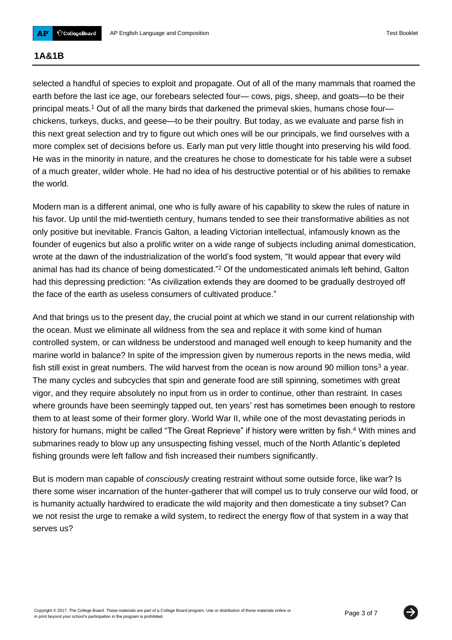selected a handful of species to exploit and propagate. Out of all of the many mammals that roamed the earth before the last ice age, our forebears selected four— cows, pigs, sheep, and goats—to be their principal meats.<sup>1</sup> Out of all the many birds that darkened the primeval skies, humans chose four chickens, turkeys, ducks, and geese—to be their poultry. But today, as we evaluate and parse fish in this next great selection and try to figure out which ones will be our principals, we find ourselves with a more complex set of decisions before us. Early man put very little thought into preserving his wild food. He was in the minority in nature, and the creatures he chose to domesticate for his table were a subset of a much greater, wilder whole. He had no idea of his destructive potential or of his abilities to remake the world.

Modern man is a different animal, one who is fully aware of his capability to skew the rules of nature in his favor. Up until the mid-twentieth century, humans tended to see their transformative abilities as not only positive but inevitable. Francis Galton, a leading Victorian intellectual, infamously known as the founder of eugenics but also a prolific writer on a wide range of subjects including animal domestication, wrote at the dawn of the industrialization of the world's food system, "It would appear that every wild animal has had its chance of being domesticated."<sup>2</sup> Of the undomesticated animals left behind, Galton had this depressing prediction: "As civilization extends they are doomed to be gradually destroyed off the face of the earth as useless consumers of cultivated produce."

And that brings us to the present day, the crucial point at which we stand in our current relationship with the ocean. Must we eliminate all wildness from the sea and replace it with some kind of human controlled system, or can wildness be understood and managed well enough to keep humanity and the marine world in balance? In spite of the impression given by numerous reports in the news media, wild fish still exist in great numbers. The wild harvest from the ocean is now around 90 million tons<sup>3</sup> a year. The many cycles and subcycles that spin and generate food are still spinning, sometimes with great vigor, and they require absolutely no input from us in order to continue, other than restraint. In cases where grounds have been seemingly tapped out, ten years' rest has sometimes been enough to restore them to at least some of their former glory. World War II, while one of the most devastating periods in history for humans, might be called "The Great Reprieve" if history were written by fish.<sup>4</sup> With mines and submarines ready to blow up any unsuspecting fishing vessel, much of the North Atlantic's depleted fishing grounds were left fallow and fish increased their numbers significantly.

But is modern man capable of *consciously* creating restraint without some outside force, like war? Is there some wiser incarnation of the hunter-gatherer that will compel us to truly conserve our wild food, or is humanity actually hardwired to eradicate the wild majority and then domesticate a tiny subset? Can we not resist the urge to remake a wild system, to redirect the energy flow of that system in a way that serves us?

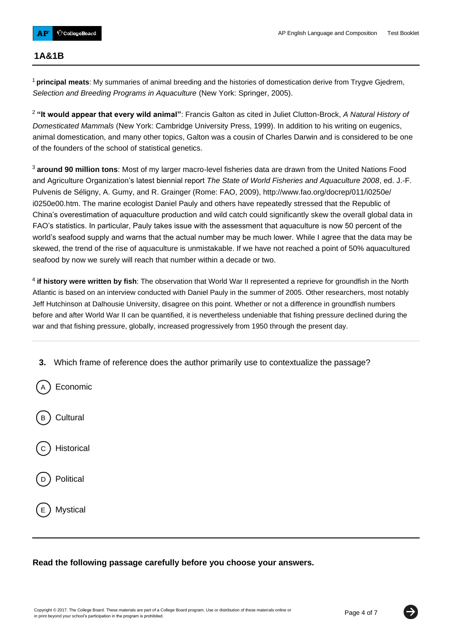<sup>1</sup> **principal meats**: My summaries of animal breeding and the histories of domestication derive from Trygve Gjedrem, *Selection and Breeding Programs in Aquaculture* (New York: Springer, 2005).

2 **"It would appear that every wild animal"**: Francis Galton as cited in Juliet Clutton-Brock, *A Natural History of Domesticated Mammals* (New York: Cambridge University Press, 1999). In addition to his writing on eugenics, animal domestication, and many other topics, Galton was a cousin of Charles Darwin and is considered to be one of the founders of the school of statistical genetics.

<sup>3</sup> **around 90 million tons**: Most of my larger macro-level fisheries data are drawn from the United Nations Food and Agriculture Organization's latest biennial report *The State of World Fisheries and Aquaculture 2008*, ed. J.-F. Pulvenis de Séligny, A. Gumy, and R. Grainger (Rome: FAO, 2009), http://www.fao.org/docrep/011/i0250e/ i0250e00.htm. The marine ecologist Daniel Pauly and others have repeatedly stressed that the Republic of China's overestimation of aquaculture production and wild catch could significantly skew the overall global data in FAO's statistics. In particular, Pauly takes issue with the assessment that aquaculture is now 50 percent of the world's seafood supply and warns that the actual number may be much lower. While I agree that the data may be skewed, the trend of the rise of aquaculture is unmistakable. If we have not reached a point of 50% aquacultured seafood by now we surely will reach that number within a decade or two.

4 **if history were written by fish**: The observation that World War II represented a reprieve for groundfish in the North Atlantic is based on an interview conducted with Daniel Pauly in the summer of 2005. Other researchers, most notably Jeff Hutchinson at Dalhousie University, disagree on this point. Whether or not a difference in groundfish numbers before and after World War II can be quantified, it is nevertheless undeniable that fishing pressure declined during the war and that fishing pressure, globally, increased progressively from 1950 through the present day.

|     | 3. Which frame of reference does the author primarily use to contextualize the passage? |
|-----|-----------------------------------------------------------------------------------------|
|     | Economic                                                                                |
| B   | Cultural                                                                                |
|     | Historical                                                                              |
| . D | Political                                                                               |
| ( E | <b>Mystical</b>                                                                         |

**Read the following passage carefully before you choose your answers.**

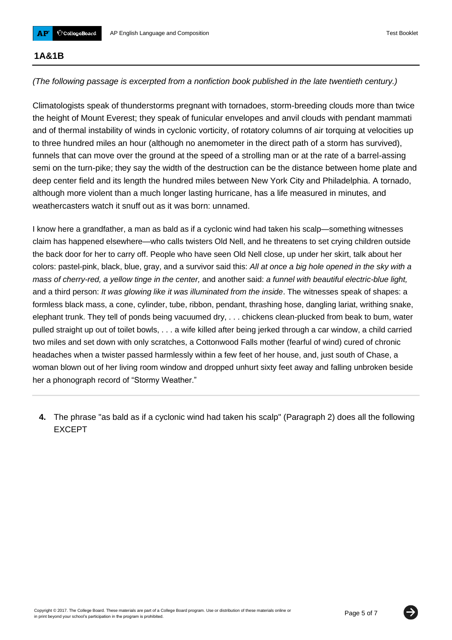#### *(The following passage is excerpted from a nonfiction book published in the late twentieth century.)*

Climatologists speak of thunderstorms pregnant with tornadoes, storm-breeding clouds more than twice the height of Mount Everest; they speak of funicular envelopes and anvil clouds with pendant mammati and of thermal instability of winds in cyclonic vorticity, of rotatory columns of air torquing at velocities up to three hundred miles an hour (although no anemometer in the direct path of a storm has survived), funnels that can move over the ground at the speed of a strolling man or at the rate of a barrel-assing semi on the turn-pike; they say the width of the destruction can be the distance between home plate and deep center field and its length the hundred miles between New York City and Philadelphia. A tornado, although more violent than a much longer lasting hurricane, has a life measured in minutes, and weathercasters watch it snuff out as it was born: unnamed.

I know here a grandfather, a man as bald as if a cyclonic wind had taken his scalp—something witnesses claim has happened elsewhere—who calls twisters Old Nell, and he threatens to set crying children outside the back door for her to carry off. People who have seen Old Nell close, up under her skirt, talk about her colors: pastel-pink, black, blue, gray, and a survivor said this: *All at once a big hole opened in the sky with a mass of cherry-red, a yellow tinge in the center,* and another said: *a funnel with beautiful electric-blue light,*  and a third person: *It was glowing like it was illuminated from the inside*. The witnesses speak of shapes: a formless black mass, a cone, cylinder, tube, ribbon, pendant, thrashing hose, dangling lariat, writhing snake, elephant trunk. They tell of ponds being vacuumed dry, . . . chickens clean-plucked from beak to bum, water pulled straight up out of toilet bowls, . . . a wife killed after being jerked through a car window, a child carried two miles and set down with only scratches, a Cottonwood Falls mother (fearful of wind) cured of chronic headaches when a twister passed harmlessly within a few feet of her house, and, just south of Chase, a woman blown out of her living room window and dropped unhurt sixty feet away and falling unbroken beside her a phonograph record of "Stormy Weather."

**4.** The phrase "as bald as if a cyclonic wind had taken his scalp" (Paragraph 2) does all the following EXCEPT

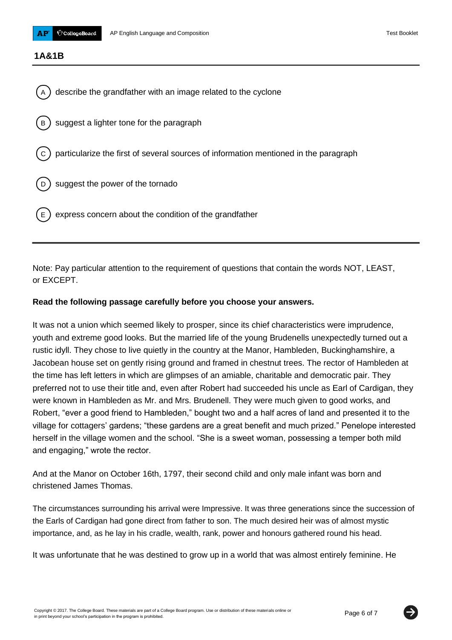describe the grandfather with an image related to the cyclone

suggest a lighter tone for the paragraph

particularize the first of several sources of information mentioned in the paragraph

- suggest the power of the tornado
- express concern about the condition of the grandfather

Note: Pay particular attention to the requirement of questions that contain the words NOT, LEAST, or EXCEPT.

#### **Read the following passage carefully before you choose your answers.**

It was not a union which seemed likely to prosper, since its chief characteristics were imprudence, youth and extreme good looks. But the married life of the young Brudenells unexpectedly turned out a rustic idyll. They chose to live quietly in the country at the Manor, Hambleden, Buckinghamshire, a Jacobean house set on gently rising ground and framed in chestnut trees. The rector of Hambleden at the time has left letters in which are glimpses of an amiable, charitable and democratic pair. They preferred not to use their title and, even after Robert had succeeded his uncle as Earl of Cardigan, they were known in Hambleden as Mr. and Mrs. Brudenell. They were much given to good works, and Robert, "ever a good friend to Hambleden," bought two and a half acres of land and presented it to the village for cottagers' gardens; "these gardens are a great benefit and much prized." Penelope interested herself in the village women and the school. "She is a sweet woman, possessing a temper both mild and engaging," wrote the rector.

And at the Manor on October 16th, 1797, their second child and only male infant was born and christened James Thomas.

The circumstances surrounding his arrival were Impressive. It was three generations since the succession of the Earls of Cardigan had gone direct from father to son. The much desired heir was of almost mystic importance, and, as he lay in his cradle, wealth, rank, power and honours gathered round his head.

It was unfortunate that he was destined to grow up in a world that was almost entirely feminine. He

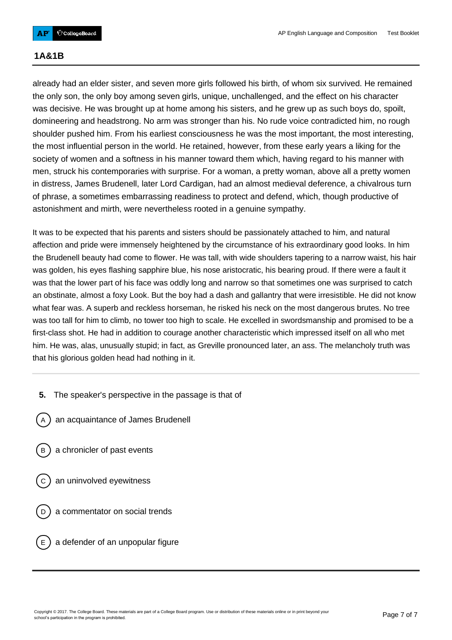already had an elder sister, and seven more girls followed his birth, of whom six survived. He remained the only son, the only boy among seven girls, unique, unchallenged, and the effect on his character was decisive. He was brought up at home among his sisters, and he grew up as such boys do, spoilt, domineering and headstrong. No arm was stronger than his. No rude voice contradicted him, no rough shoulder pushed him. From his earliest consciousness he was the most important, the most interesting, the most influential person in the world. He retained, however, from these early years a liking for the society of women and a softness in his manner toward them which, having regard to his manner with men, struck his contemporaries with surprise. For a woman, a pretty woman, above all a pretty women in distress, James Brudenell, later Lord Cardigan, had an almost medieval deference, a chivalrous turn of phrase, a sometimes embarrassing readiness to protect and defend, which, though productive of astonishment and mirth, were nevertheless rooted in a genuine sympathy.

It was to be expected that his parents and sisters should be passionately attached to him, and natural affection and pride were immensely heightened by the circumstance of his extraordinary good looks. In him the Brudenell beauty had come to flower. He was tall, with wide shoulders tapering to a narrow waist, his hair was golden, his eyes flashing sapphire blue, his nose aristocratic, his bearing proud. If there were a fault it was that the lower part of his face was oddly long and narrow so that sometimes one was surprised to catch an obstinate, almost a foxy Look. But the boy had a dash and gallantry that were irresistible. He did not know what fear was. A superb and reckless horseman, he risked his neck on the most dangerous brutes. No tree was too tall for him to climb, no tower too high to scale. He excelled in swordsmanship and promised to be a first-class shot. He had in addition to courage another characteristic which impressed itself on all who met him. He was, alas, unusually stupid; in fact, as Greville pronounced later, an ass. The melancholy truth was that his glorious golden head had nothing in it.

- **5.** The speaker's perspective in the passage is that of
- an acquaintance of James Brudenell
- a chronicler of past events
- an uninvolved eyewitness
- a commentator on social trends
- a defender of an unpopular figure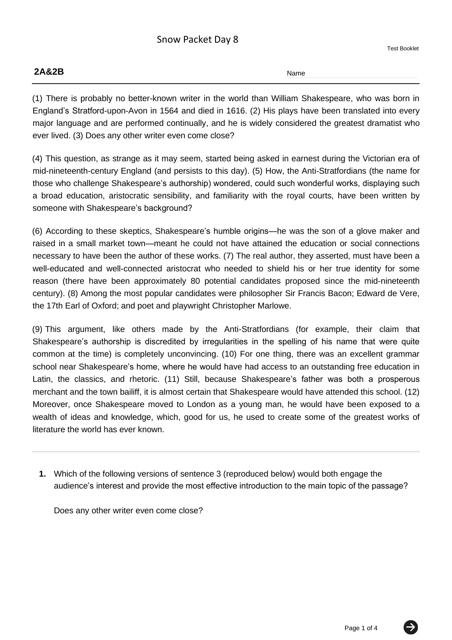### Snow Packet Day 8

Test Booklet

#### **2A&2B** Name

(1) There is probably no better-known writer in the world than William Shakespeare, who was born in England's Stratford-upon-Avon in 1564 and died in 1616. (2) His plays have been translated into every major language and are performed continually, and he is widely considered the greatest dramatist who ever lived. (3) Does any other writer even come close?

(4) This question, as strange as it may seem, started being asked in earnest during the Victorian era of mid-nineteenth-century England (and persists to this day). (5) How, the Anti-Stratfordians (the name for those who challenge Shakespeare's authorship) wondered, could such wonderful works, displaying such a broad education, aristocratic sensibility, and familiarity with the royal courts, have been written by someone with Shakespeare's background?

(6) According to these skeptics, Shakespeare's humble origins—he was the son of a glove maker and raised in a small market town—meant he could not have attained the education or social connections necessary to have been the author of these works. (7) The real author, they asserted, must have been a well-educated and well-connected aristocrat who needed to shield his or her true identity for some reason (there have been approximately 80 potential candidates proposed since the mid-nineteenth century). (8) Among the most popular candidates were philosopher Sir Francis Bacon; Edward de Vere, the 17th Earl of Oxford; and poet and playwright Christopher Marlowe.

(9) This argument, like others made by the Anti-Stratfordians (for example, their claim that Shakespeare's authorship is discredited by irregularities in the spelling of his name that were quite common at the time) is completely unconvincing. (10) For one thing, there was an excellent grammar school near Shakespeare's home, where he would have had access to an outstanding free education in Latin, the classics, and rhetoric. (11) Still, because Shakespeare's father was both a prosperous merchant and the town bailiff, it is almost certain that Shakespeare would have attended this school. (12) Moreover, once Shakespeare moved to London as a young man, he would have been exposed to a wealth of ideas and knowledge, which, good for us, he used to create some of the greatest works of literature the world has ever known.

**1.** Which of the following versions of sentence 3 (reproduced below) would both engage the audience's interest and provide the most effective introduction to the main topic of the passage?

Does any other writer even come close?

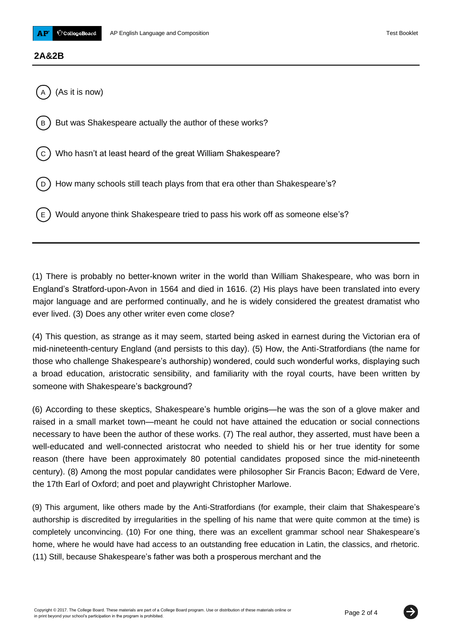#### **2A&2B**

(As it is now)

But was Shakespeare actually the author of these works?

Who hasn't at least heard of the great William Shakespeare?

How many schools still teach plays from that era other than Shakespeare's?

E Would anyone think Shakespeare tried to pass his work off as someone else's?

(1) There is probably no better-known writer in the world than William Shakespeare, who was born in England's Stratford-upon-Avon in 1564 and died in 1616. (2) His plays have been translated into every major language and are performed continually, and he is widely considered the greatest dramatist who ever lived. (3) Does any other writer even come close?

(4) This question, as strange as it may seem, started being asked in earnest during the Victorian era of mid-nineteenth-century England (and persists to this day). (5) How, the Anti-Stratfordians (the name for those who challenge Shakespeare's authorship) wondered, could such wonderful works, displaying such a broad education, aristocratic sensibility, and familiarity with the royal courts, have been written by someone with Shakespeare's background?

(6) According to these skeptics, Shakespeare's humble origins—he was the son of a glove maker and raised in a small market town—meant he could not have attained the education or social connections necessary to have been the author of these works. (7) The real author, they asserted, must have been a well-educated and well-connected aristocrat who needed to shield his or her true identity for some reason (there have been approximately 80 potential candidates proposed since the mid-nineteenth century). (8) Among the most popular candidates were philosopher Sir Francis Bacon; Edward de Vere, the 17th Earl of Oxford; and poet and playwright Christopher Marlowe.

(9) This argument, like others made by the Anti-Stratfordians (for example, their claim that Shakespeare's authorship is discredited by irregularities in the spelling of his name that were quite common at the time) is completely unconvincing. (10) For one thing, there was an excellent grammar school near Shakespeare's home, where he would have had access to an outstanding free education in Latin, the classics, and rhetoric. (11) Still, because Shakespeare's father was both a prosperous merchant and the

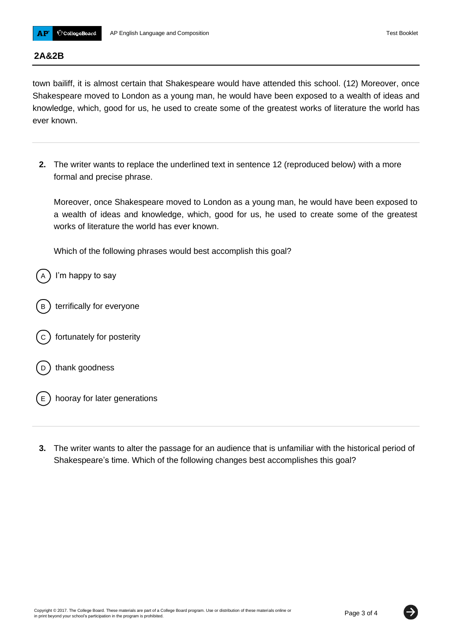#### **2A&2B**

town bailiff, it is almost certain that Shakespeare would have attended this school. (12) Moreover, once Shakespeare moved to London as a young man, he would have been exposed to a wealth of ideas and knowledge, which, good for us, he used to create some of the greatest works of literature the world has ever known.

**2.** The writer wants to replace the underlined text in sentence 12 (reproduced below) with a more formal and precise phrase.

Moreover, once Shakespeare moved to London as a young man, he would have been exposed to a wealth of ideas and knowledge, which, good for us, he used to create some of the greatest works of literature the world has ever known.

Which of the following phrases would best accomplish this goal?

I'm happy to say

terrifically for everyone

fortunately for posterity

thank goodness

hooray for later generations

**3.** The writer wants to alter the passage for an audience that is unfamiliar with the historical period of Shakespeare's time. Which of the following changes best accomplishes this goal?

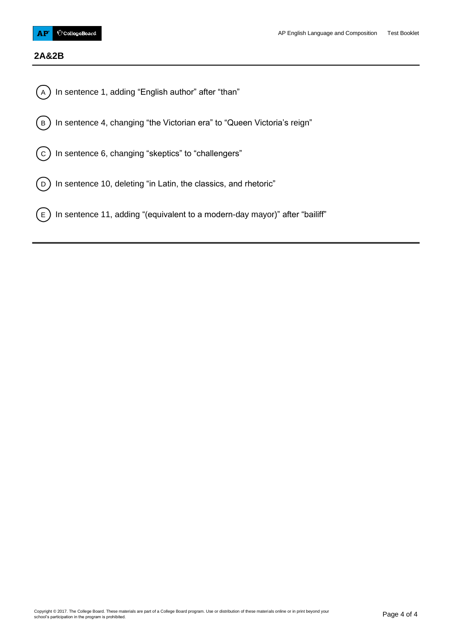#### **2A&2B**

 $\widehat{A}$  In sentence 1, adding "English author" after "than"  $\mathsf{F}_{\mathsf{B}}$ ) In sentence 4, changing "the Victorian era" to "Queen Victoria's reign"  $\epsilon$ ) In sentence 6, changing "skeptics" to "challengers"  $(D)$  In sentence 10, deleting "in Latin, the classics, and rhetoric"  $\widehat{E}$ ) In sentence 11, adding "(equivalent to a modern-day mayor)" after "bailiff"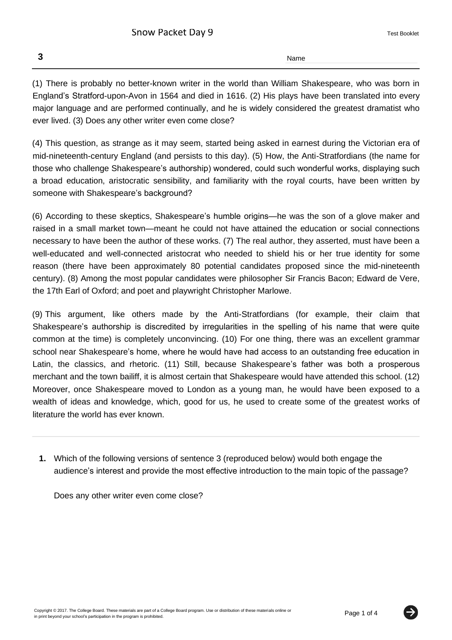(1) There is probably no better-known writer in the world than William Shakespeare, who was born in England's Stratford-upon-Avon in 1564 and died in 1616. (2) His plays have been translated into every major language and are performed continually, and he is widely considered the greatest dramatist who ever lived. (3) Does any other writer even come close?

(4) This question, as strange as it may seem, started being asked in earnest during the Victorian era of mid-nineteenth-century England (and persists to this day). (5) How, the Anti-Stratfordians (the name for those who challenge Shakespeare's authorship) wondered, could such wonderful works, displaying such a broad education, aristocratic sensibility, and familiarity with the royal courts, have been written by someone with Shakespeare's background?

(6) According to these skeptics, Shakespeare's humble origins—he was the son of a glove maker and raised in a small market town—meant he could not have attained the education or social connections necessary to have been the author of these works. (7) The real author, they asserted, must have been a well-educated and well-connected aristocrat who needed to shield his or her true identity for some reason (there have been approximately 80 potential candidates proposed since the mid-nineteenth century). (8) Among the most popular candidates were philosopher Sir Francis Bacon; Edward de Vere, the 17th Earl of Oxford; and poet and playwright Christopher Marlowe.

(9) This argument, like others made by the Anti-Stratfordians (for example, their claim that Shakespeare's authorship is discredited by irregularities in the spelling of his name that were quite common at the time) is completely unconvincing. (10) For one thing, there was an excellent grammar school near Shakespeare's home, where he would have had access to an outstanding free education in Latin, the classics, and rhetoric. (11) Still, because Shakespeare's father was both a prosperous merchant and the town bailiff, it is almost certain that Shakespeare would have attended this school. (12) Moreover, once Shakespeare moved to London as a young man, he would have been exposed to a wealth of ideas and knowledge, which, good for us, he used to create some of the greatest works of literature the world has ever known.

**1.** Which of the following versions of sentence 3 (reproduced below) would both engage the audience's interest and provide the most effective introduction to the main topic of the passage?

Does any other writer even come close?

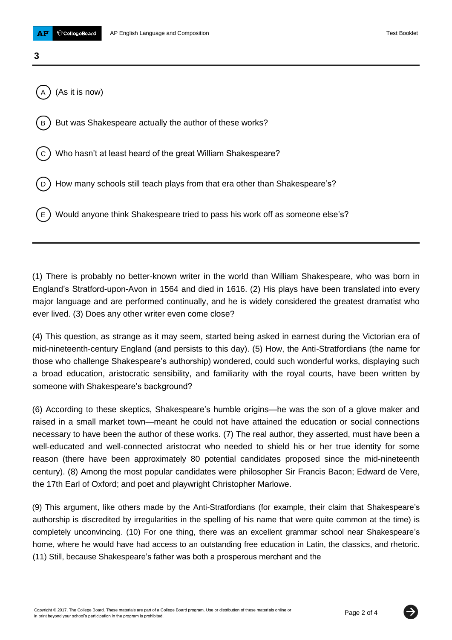**3**

(As it is now)

But was Shakespeare actually the author of these works?

Who hasn't at least heard of the great William Shakespeare?

How many schools still teach plays from that era other than Shakespeare's?

E Would anyone think Shakespeare tried to pass his work off as someone else's?

(1) There is probably no better-known writer in the world than William Shakespeare, who was born in England's Stratford-upon-Avon in 1564 and died in 1616. (2) His plays have been translated into every major language and are performed continually, and he is widely considered the greatest dramatist who ever lived. (3) Does any other writer even come close?

(4) This question, as strange as it may seem, started being asked in earnest during the Victorian era of mid-nineteenth-century England (and persists to this day). (5) How, the Anti-Stratfordians (the name for those who challenge Shakespeare's authorship) wondered, could such wonderful works, displaying such a broad education, aristocratic sensibility, and familiarity with the royal courts, have been written by someone with Shakespeare's background?

(6) According to these skeptics, Shakespeare's humble origins—he was the son of a glove maker and raised in a small market town—meant he could not have attained the education or social connections necessary to have been the author of these works. (7) The real author, they asserted, must have been a well-educated and well-connected aristocrat who needed to shield his or her true identity for some reason (there have been approximately 80 potential candidates proposed since the mid-nineteenth century). (8) Among the most popular candidates were philosopher Sir Francis Bacon; Edward de Vere, the 17th Earl of Oxford; and poet and playwright Christopher Marlowe.

(9) This argument, like others made by the Anti-Stratfordians (for example, their claim that Shakespeare's authorship is discredited by irregularities in the spelling of his name that were quite common at the time) is completely unconvincing. (10) For one thing, there was an excellent grammar school near Shakespeare's home, where he would have had access to an outstanding free education in Latin, the classics, and rhetoric. (11) Still, because Shakespeare's father was both a prosperous merchant and the

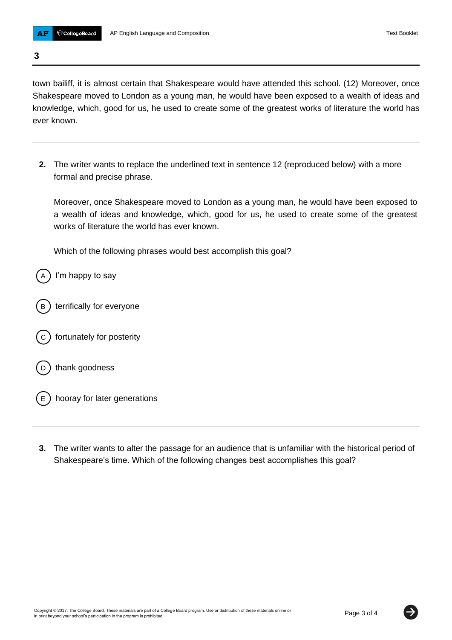**3**

town bailiff, it is almost certain that Shakespeare would have attended this school. (12) Moreover, once Shakespeare moved to London as a young man, he would have been exposed to a wealth of ideas and knowledge, which, good for us, he used to create some of the greatest works of literature the world has ever known.

**2.** The writer wants to replace the underlined text in sentence 12 (reproduced below) with a more formal and precise phrase.

Moreover, once Shakespeare moved to London as a young man, he would have been exposed to a wealth of ideas and knowledge, which, good for us, he used to create some of the greatest works of literature the world has ever known.

Which of the following phrases would best accomplish this goal?

I'm happy to say

terrifically for everyone

fortunately for posterity

thank goodness

hooray for later generations

**3.** The writer wants to alter the passage for an audience that is unfamiliar with the historical period of Shakespeare's time. Which of the following changes best accomplishes this goal?

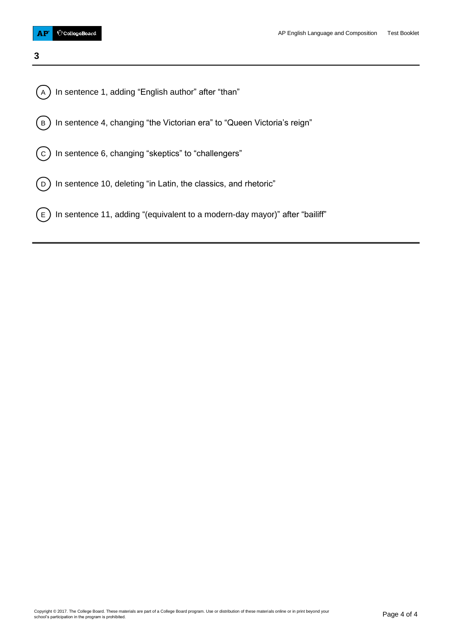| 3                                                                                |
|----------------------------------------------------------------------------------|
| In sentence 1, adding "English author" after "than"                              |
| In sentence 4, changing "the Victorian era" to "Queen Victoria's reign"<br>B     |
| In sentence 6, changing "skeptics" to "challengers"                              |
| In sentence 10, deleting "in Latin, the classics, and rhetoric"                  |
| In sentence 11, adding "(equivalent to a modern-day mayor)" after "bailiff"<br>E |
|                                                                                  |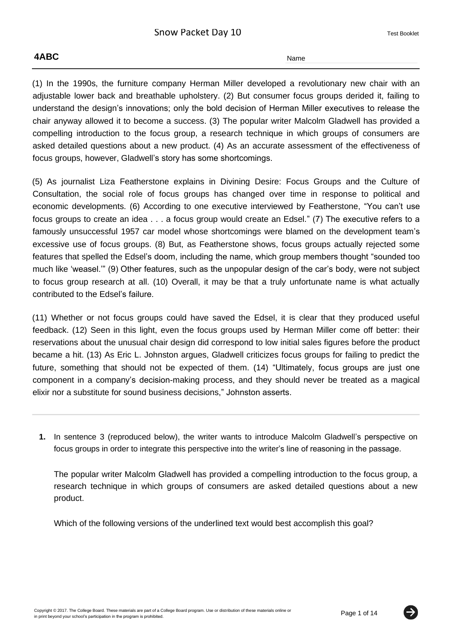(1) In the 1990s, the furniture company Herman Miller developed a revolutionary new chair with an adjustable lower back and breathable upholstery. (2) But consumer focus groups derided it, failing to understand the design's innovations; only the bold decision of Herman Miller executives to release the chair anyway allowed it to become a success. (3) The popular writer Malcolm Gladwell has provided a compelling introduction to the focus group, a research technique in which groups of consumers are asked detailed questions about a new product. (4) As an accurate assessment of the effectiveness of focus groups, however, Gladwell's story has some shortcomings.

(5) As journalist Liza Featherstone explains in Divining Desire: Focus Groups and the Culture of Consultation, the social role of focus groups has changed over time in response to political and economic developments. (6) According to one executive interviewed by Featherstone, "You can't use focus groups to create an idea . . . a focus group would create an Edsel." (7) The executive refers to a famously unsuccessful 1957 car model whose shortcomings were blamed on the development team's excessive use of focus groups. (8) But, as Featherstone shows, focus groups actually rejected some features that spelled the Edsel's doom, including the name, which group members thought "sounded too much like 'weasel.'" (9) Other features, such as the unpopular design of the car's body, were not subject to focus group research at all. (10) Overall, it may be that a truly unfortunate name is what actually contributed to the Edsel's failure.

(11) Whether or not focus groups could have saved the Edsel, it is clear that they produced useful feedback. (12) Seen in this light, even the focus groups used by Herman Miller come off better: their reservations about the unusual chair design did correspond to low initial sales figures before the product became a hit. (13) As Eric L. Johnston argues, Gladwell criticizes focus groups for failing to predict the future, something that should not be expected of them. (14) "Ultimately, focus groups are just one component in a company's decision-making process, and they should never be treated as a magical elixir nor a substitute for sound business decisions," Johnston asserts.

**1.** In sentence 3 (reproduced below), the writer wants to introduce Malcolm Gladwell's perspective on focus groups in order to integrate this perspective into the writer's line of reasoning in the passage.

The popular writer Malcolm Gladwell has provided a compelling introduction to the focus group, a research technique in which groups of consumers are asked detailed questions about a new product.

Which of the following versions of the underlined text would best accomplish this goal?

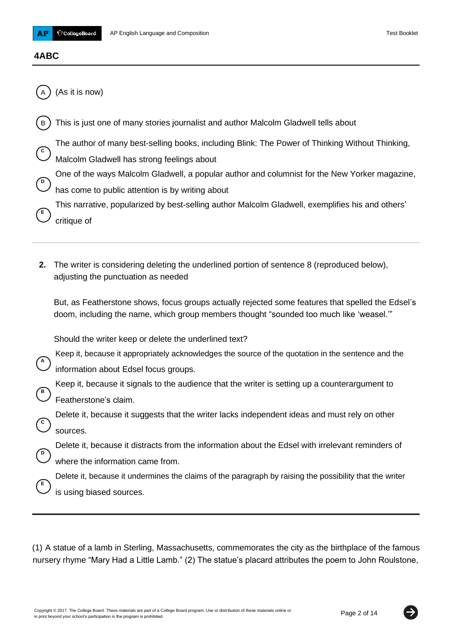**C**

**E**

**A**

**C**

**E**

(As it is now)

This is just one of many stories journalist and author Malcolm Gladwell tells about

The author of many best-selling books, including Blink: The Power of Thinking Without Thinking,

Malcolm Gladwell has strong feelings about

One of the ways Malcolm Gladwell, a popular author and columnist for the New Yorker magazine, **D** has come to public attention is by writing about

This narrative, popularized by best-selling author Malcolm Gladwell, exemplifies his and others' critique of

**2.** The writer is considering deleting the underlined portion of sentence 8 (reproduced below), adjusting the punctuation as needed

But, as Featherstone shows, focus groups actually rejected some features that spelled the Edsel's doom, including the name, which group members thought "sounded too much like 'weasel.'"

Should the writer keep or delete the underlined text?

Keep it, because it appropriately acknowledges the source of the quotation in the sentence and the

information about Edsel focus groups.

Keep it, because it signals to the audience that the writer is setting up a counterargument to **B**

Featherstone's claim.

Delete it, because it suggests that the writer lacks independent ideas and must rely on other sources.

Delete it, because it distracts from the information about the Edsel with irrelevant reminders of **D** where the information came from.

Delete it, because it undermines the claims of the paragraph by raising the possibility that the writer

is using biased sources.

(1) A statue of a lamb in Sterling, Massachusetts, commemorates the city as the birthplace of the famous nursery rhyme "Mary Had a Little Lamb." (2) The statue's placard attributes the poem to John Roulstone,

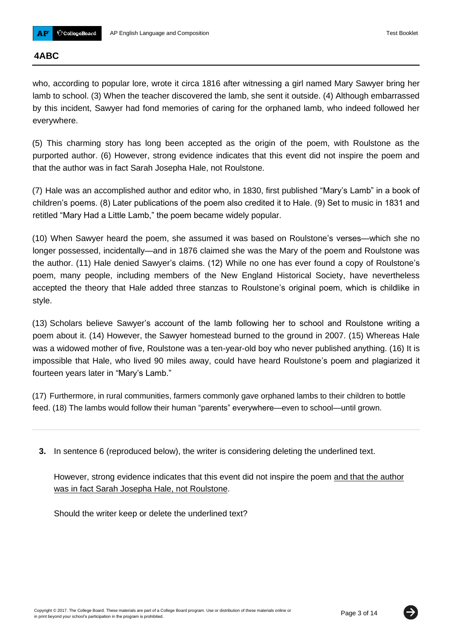who, according to popular lore, wrote it circa 1816 after witnessing a girl named Mary Sawyer bring her lamb to school. (3) When the teacher discovered the lamb, she sent it outside. (4) Although embarrassed by this incident, Sawyer had fond memories of caring for the orphaned lamb, who indeed followed her everywhere.

(5) This charming story has long been accepted as the origin of the poem, with Roulstone as the purported author. (6) However, strong evidence indicates that this event did not inspire the poem and that the author was in fact Sarah Josepha Hale, not Roulstone.

(7) Hale was an accomplished author and editor who, in 1830, first published "Mary's Lamb" in a book of children's poems. (8) Later publications of the poem also credited it to Hale. (9) Set to music in 1831 and retitled "Mary Had a Little Lamb," the poem became widely popular.

(10) When Sawyer heard the poem, she assumed it was based on Roulstone's verses—which she no longer possessed, incidentally—and in 1876 claimed she was the Mary of the poem and Roulstone was the author. (11) Hale denied Sawyer's claims. (12) While no one has ever found a copy of Roulstone's poem, many people, including members of the New England Historical Society, have nevertheless accepted the theory that Hale added three stanzas to Roulstone's original poem, which is childlike in style.

(13) Scholars believe Sawyer's account of the lamb following her to school and Roulstone writing a poem about it. (14) However, the Sawyer homestead burned to the ground in 2007. (15) Whereas Hale was a widowed mother of five, Roulstone was a ten-year-old boy who never published anything. (16) It is impossible that Hale, who lived 90 miles away, could have heard Roulstone's poem and plagiarized it fourteen years later in "Mary's Lamb."

(17) Furthermore, in rural communities, farmers commonly gave orphaned lambs to their children to bottle feed. (18) The lambs would follow their human "parents" everywhere—even to school—until grown.

**3.** In sentence 6 (reproduced below), the writer is considering deleting the underlined text.

However, strong evidence indicates that this event did not inspire the poem and that the author was in fact Sarah Josepha Hale, not Roulstone.

Should the writer keep or delete the underlined text?

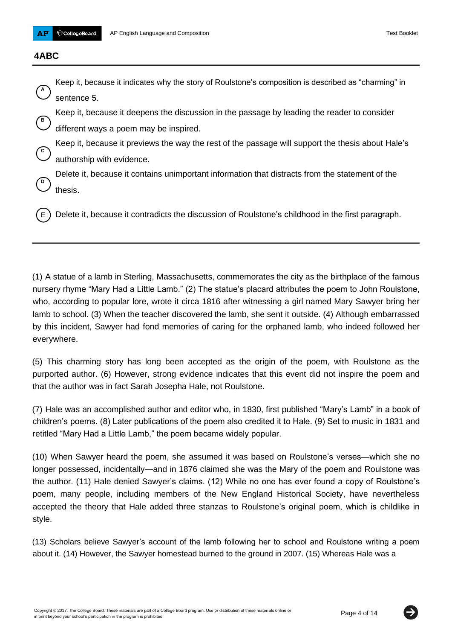| Keep it, because it indicates why the story of Roulstone's composition is described as "charming" in |
|------------------------------------------------------------------------------------------------------|
| sentence 5.                                                                                          |
| Keep it, because it deepens the discussion in the passage by leading the reader to consider<br>В     |
| different ways a poem may be inspired.                                                               |
| Keep it, because it previews the way the rest of the passage will support the thesis about Hale's    |
| authorship with evidence.                                                                            |
| Delete it, because it contains unimportant information that distracts from the statement of the      |
| thesis.                                                                                              |
| Delete it, because it contradicts the discussion of Roulstone's childhood in the first paragraph.    |
|                                                                                                      |

(1) A statue of a lamb in Sterling, Massachusetts, commemorates the city as the birthplace of the famous nursery rhyme "Mary Had a Little Lamb." (2) The statue's placard attributes the poem to John Roulstone, who, according to popular lore, wrote it circa 1816 after witnessing a girl named Mary Sawyer bring her lamb to school. (3) When the teacher discovered the lamb, she sent it outside. (4) Although embarrassed by this incident, Sawyer had fond memories of caring for the orphaned lamb, who indeed followed her everywhere.

(5) This charming story has long been accepted as the origin of the poem, with Roulstone as the purported author. (6) However, strong evidence indicates that this event did not inspire the poem and that the author was in fact Sarah Josepha Hale, not Roulstone.

(7) Hale was an accomplished author and editor who, in 1830, first published "Mary's Lamb" in a book of children's poems. (8) Later publications of the poem also credited it to Hale. (9) Set to music in 1831 and retitled "Mary Had a Little Lamb," the poem became widely popular.

(10) When Sawyer heard the poem, she assumed it was based on Roulstone's verses—which she no longer possessed, incidentally—and in 1876 claimed she was the Mary of the poem and Roulstone was the author. (11) Hale denied Sawyer's claims. (12) While no one has ever found a copy of Roulstone's poem, many people, including members of the New England Historical Society, have nevertheless accepted the theory that Hale added three stanzas to Roulstone's original poem, which is childlike in style.

(13) Scholars believe Sawyer's account of the lamb following her to school and Roulstone writing a poem about it. (14) However, the Sawyer homestead burned to the ground in 2007. (15) Whereas Hale was a

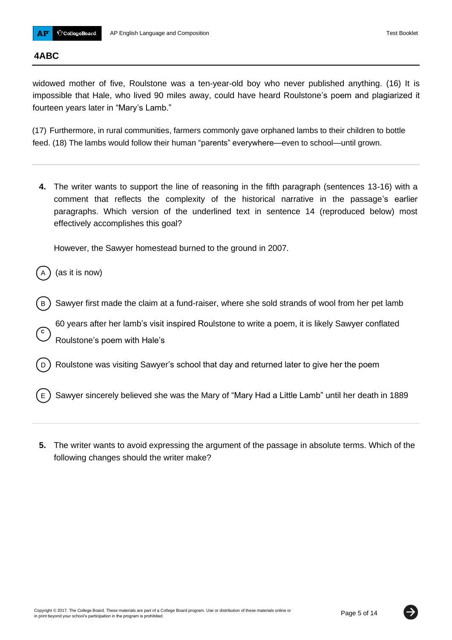widowed mother of five, Roulstone was a ten-year-old boy who never published anything. (16) It is impossible that Hale, who lived 90 miles away, could have heard Roulstone's poem and plagiarized it fourteen years later in "Mary's Lamb."

(17) Furthermore, in rural communities, farmers commonly gave orphaned lambs to their children to bottle feed. (18) The lambs would follow their human "parents" everywhere—even to school—until grown.

**4.** The writer wants to support the line of reasoning in the fifth paragraph (sentences 13-16) with a comment that reflects the complexity of the historical narrative in the passage's earlier paragraphs. Which version of the underlined text in sentence 14 (reproduced below) most effectively accomplishes this goal?

However, the Sawyer homestead burned to the ground in 2007.

 $(as it is now)$ 

**C**

Sawyer first made the claim at a fund-raiser, where she sold strands of wool from her pet lamb

60 years after her lamb's visit inspired Roulstone to write a poem, it is likely Sawyer conflated

Roulstone's poem with Hale's

Roulstone was visiting Sawyer's school that day and returned later to give her the poem

E Sawyer sincerely believed she was the Mary of "Mary Had a Little Lamb" until her death in 1889

**5.** The writer wants to avoid expressing the argument of the passage in absolute terms. Which of the following changes should the writer make?

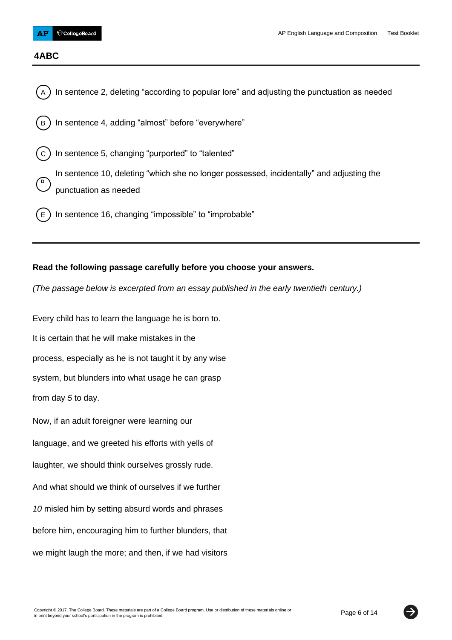**D**



 $\mathsf{B}$ ) In sentence 4, adding "almost" before "everywhere"

In sentence 5, changing "purported" to "talented"

In sentence 10, deleting "which she no longer possessed, incidentally" and adjusting the punctuation as needed

In sentence 16, changing "impossible" to "improbable"

#### **Read the following passage carefully before you choose your answers.**

*(The passage below is excerpted from an essay published in the early twentieth century.)*

Every child has to learn the language he is born to. It is certain that he will make mistakes in the process, especially as he is not taught it by any wise system, but blunders into what usage he can grasp from day *5* to day. Now, if an adult foreigner were learning our language, and we greeted his efforts with yells of laughter, we should think ourselves grossly rude. And what should we think of ourselves if we further *10* misled him by setting absurd words and phrases before him, encouraging him to further blunders, that we might laugh the more; and then, if we had visitors

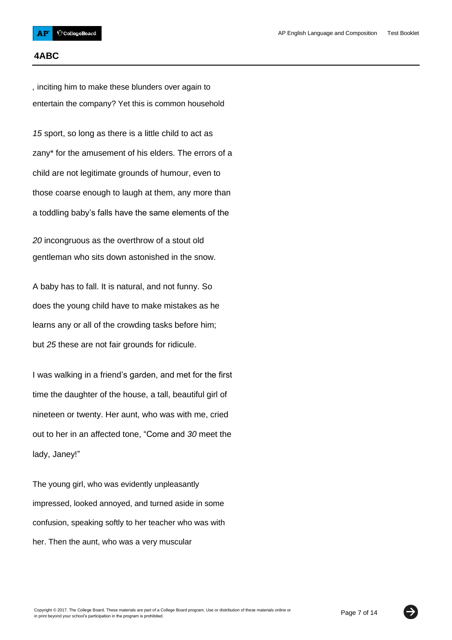, inciting him to make these blunders over again to entertain the company? Yet this is common household

*15* sport, so long as there is a little child to act as zany\* for the amusement of his elders. The errors of a child are not legitimate grounds of humour, even to those coarse enough to laugh at them, any more than a toddling baby's falls have the same elements of the

*20* incongruous as the overthrow of a stout old gentleman who sits down astonished in the snow.

A baby has to fall. It is natural, and not funny. So does the young child have to make mistakes as he learns any or all of the crowding tasks before him; but *25* these are not fair grounds for ridicule.

I was walking in a friend's garden, and met for the first time the daughter of the house, a tall, beautiful girl of nineteen or twenty. Her aunt, who was with me, cried out to her in an affected tone, "Come and *30* meet the lady, Janey!"

The young girl, who was evidently unpleasantly impressed, looked annoyed, and turned aside in some confusion, speaking softly to her teacher who was with her. Then the aunt, who was a very muscular

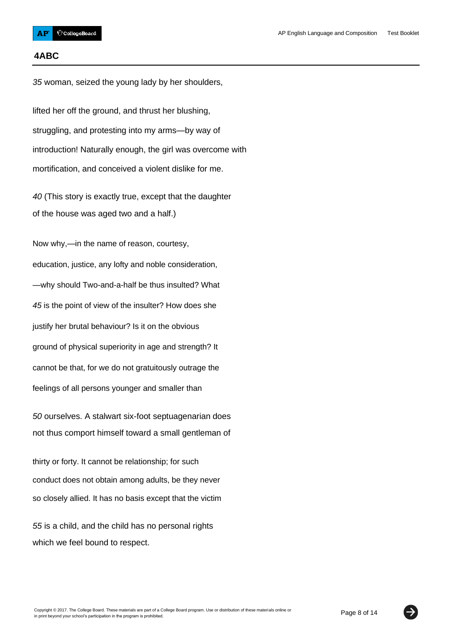*35* woman, seized the young lady by her shoulders,

lifted her off the ground, and thrust her blushing, struggling, and protesting into my arms—by way of introduction! Naturally enough, the girl was overcome with mortification, and conceived a violent dislike for me.

*40* (This story is exactly true, except that the daughter of the house was aged two and a half.)

Now why,—in the name of reason, courtesy, education, justice, any lofty and noble consideration, —why should Two-and-a-half be thus insulted? What *45* is the point of view of the insulter? How does she justify her brutal behaviour? Is it on the obvious ground of physical superiority in age and strength? It cannot be that, for we do not gratuitously outrage the feelings of all persons younger and smaller than

*50* ourselves. A stalwart six-foot septuagenarian does not thus comport himself toward a small gentleman of

thirty or forty. It cannot be relationship; for such conduct does not obtain among adults, be they never so closely allied. It has no basis except that the victim

*55* is a child, and the child has no personal rights which we feel bound to respect.

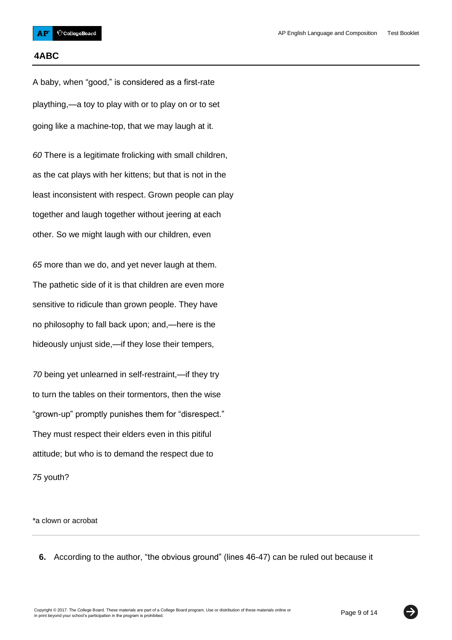A baby, when "good," is considered as a first-rate plaything,—a toy to play with or to play on or to set going like a machine-top, that we may laugh at it.

*60* There is a legitimate frolicking with small children, as the cat plays with her kittens; but that is not in the least inconsistent with respect. Grown people can play together and laugh together without jeering at each other. So we might laugh with our children, even

*65* more than we do, and yet never laugh at them. The pathetic side of it is that children are even more sensitive to ridicule than grown people. They have no philosophy to fall back upon; and,—here is the hideously unjust side,—if they lose their tempers,

*70* being yet unlearned in self-restraint,—if they try to turn the tables on their tormentors, then the wise "grown-up" promptly punishes them for "disrespect." They must respect their elders even in this pitiful attitude; but who is to demand the respect due to *75* youth?

\*a clown or acrobat

**6.** According to the author, "the obvious ground" (lines 46-47) can be ruled out because it

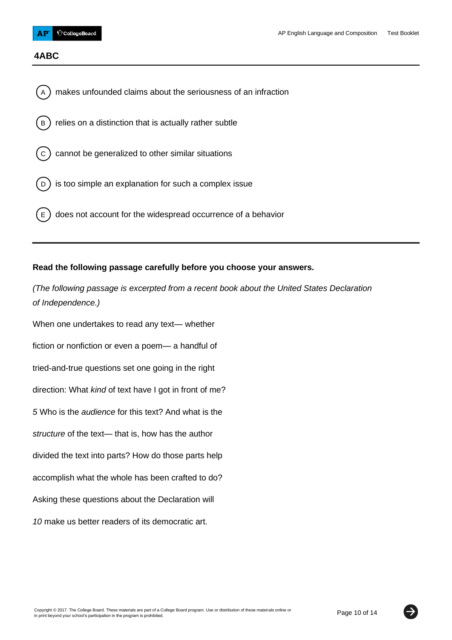

B) relies on a distinction that is actually rather subtle

cannot be generalized to other similar situations

is too simple an explanation for such a complex issue

does not account for the widespread occurrence of a behavior

#### **Read the following passage carefully before you choose your answers.**

*(The following passage is excerpted from a recent book about the United States Declaration of Independence.)*

When one undertakes to read any text— whether fiction or nonfiction or even a poem— a handful of tried-and-true questions set one going in the right direction: What *kind* of text have I got in front of me? *5* Who is the *audience* for this text? And what is the *structure* of the text— that is, how has the author divided the text into parts? How do those parts help accomplish what the whole has been crafted to do? Asking these questions about the Declaration will *10* make us better readers of its democratic art.

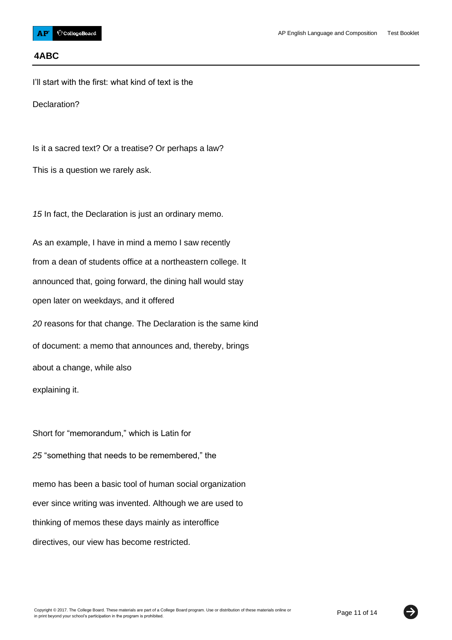I'll start with the first: what kind of text is the Declaration?

Is it a sacred text? Or a treatise? Or perhaps a law?

This is a question we rarely ask.

*15* In fact, the Declaration is just an ordinary memo.

As an example, I have in mind a memo I saw recently from a dean of students office at a northeastern college. It announced that, going forward, the dining hall would stay open later on weekdays, and it offered *20* reasons for that change. The Declaration is the same kind of document: a memo that announces and, thereby, brings about a change, while also explaining it.

Short for "memorandum," which is Latin for *25* "something that needs to be remembered," the memo has been a basic tool of human social organization ever since writing was invented. Although we are used to thinking of memos these days mainly as interoffice directives, our view has become restricted.

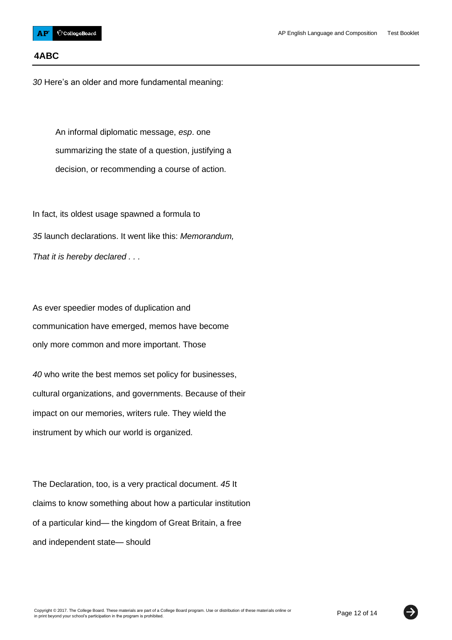*30* Here's an older and more fundamental meaning:

An informal diplomatic message, *esp*. one summarizing the state of a question, justifying a decision, or recommending a course of action.

In fact, its oldest usage spawned a formula to *35* launch declarations. It went like this: *Memorandum, That it is hereby declared . . .*

As ever speedier modes of duplication and communication have emerged, memos have become only more common and more important. Those

*40* who write the best memos set policy for businesses, cultural organizations, and governments. Because of their impact on our memories, writers rule. They wield the instrument by which our world is organized.

The Declaration, too, is a very practical document. *45* It claims to know something about how a particular institution of a particular kind— the kingdom of Great Britain, a free and independent state— should

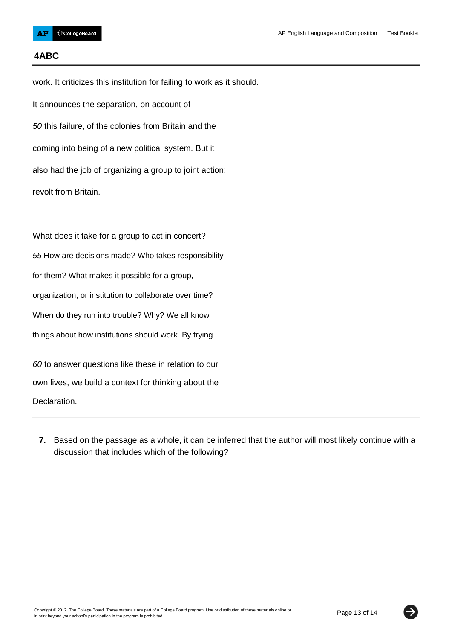work. It criticizes this institution for failing to work as it should. It announces the separation, on account of *50* this failure, of the colonies from Britain and the coming into being of a new political system. But it also had the job of organizing a group to joint action: revolt from Britain.

What does it take for a group to act in concert? *55* How are decisions made? Who takes responsibility for them? What makes it possible for a group, organization, or institution to collaborate over time? When do they run into trouble? Why? We all know things about how institutions should work. By trying *60* to answer questions like these in relation to our

own lives, we build a context for thinking about the Declaration.

**7.** Based on the passage as a whole, it can be inferred that the author will most likely continue with a discussion that includes which of the following?